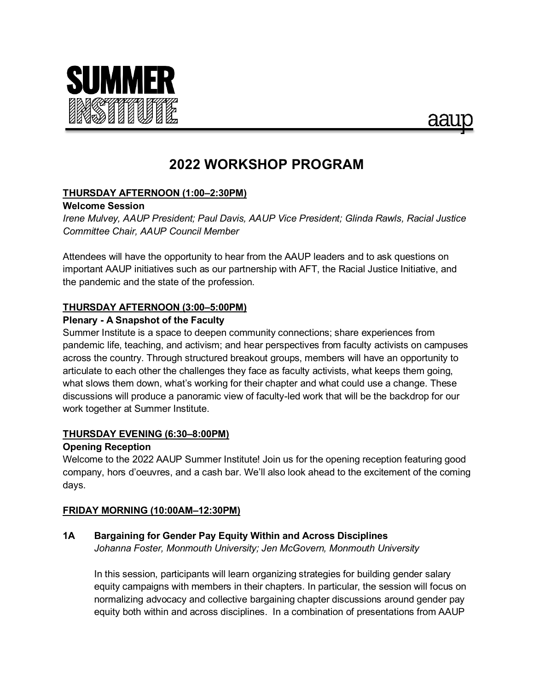



# **2022 WORKSHOP PROGRAM**

# **THURSDAY AFTERNOON (1:00–2:30PM)**

## **Welcome Session**

*Irene Mulvey, AAUP President; Paul Davis, AAUP Vice President; Glinda Rawls, Racial Justice Committee Chair, AAUP Council Member*

Attendees will have the opportunity to hear from the AAUP leaders and to ask questions on important AAUP initiatives such as our partnership with AFT, the Racial Justice Initiative, and the pandemic and the state of the profession.

# **THURSDAY AFTERNOON (3:00–5:00PM)**

# **Plenary - A Snapshot of the Faculty**

Summer Institute is a space to deepen community connections; share experiences from pandemic life, teaching, and activism; and hear perspectives from faculty activists on campuses across the country. Through structured breakout groups, members will have an opportunity to articulate to each other the challenges they face as faculty activists, what keeps them going, what slows them down, what's working for their chapter and what could use a change. These discussions will produce a panoramic view of faculty-led work that will be the backdrop for our work together at Summer Institute.

# **THURSDAY EVENING (6:30–8:00PM)**

# **Opening Reception**

Welcome to the 2022 AAUP Summer Institute! Join us for the opening reception featuring good company, hors d'oeuvres, and a cash bar. We'll also look ahead to the excitement of the coming days.

# **FRIDAY MORNING (10:00AM–12:30PM)**

# **1A Bargaining for Gender Pay Equity Within and Across Disciplines**

*Johanna Foster, Monmouth University; Jen McGovern, Monmouth University*

In this session, participants will learn organizing strategies for building gender salary equity campaigns with members in their chapters. In particular, the session will focus on normalizing advocacy and collective bargaining chapter discussions around gender pay equity both within and across disciplines. In a combination of presentations from AAUP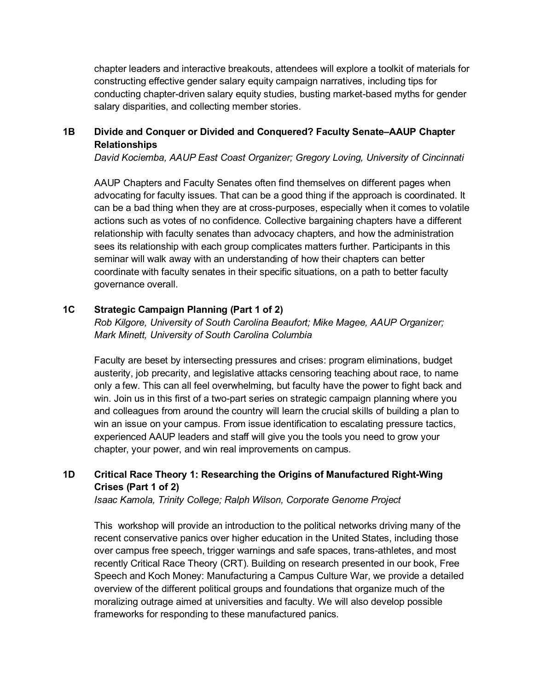chapter leaders and interactive breakouts, attendees will explore a toolkit of materials for constructing effective gender salary equity campaign narratives, including tips for conducting chapter-driven salary equity studies, busting market-based myths for gender salary disparities, and collecting member stories.

# **1B Divide and Conquer or Divided and Conquered? Faculty Senate–AAUP Chapter Relationships**

*David Kociemba, AAUP East Coast Organizer; Gregory Loving, University of Cincinnati* 

AAUP Chapters and Faculty Senates often find themselves on different pages when advocating for faculty issues. That can be a good thing if the approach is coordinated. It can be a bad thing when they are at cross-purposes, especially when it comes to volatile actions such as votes of no confidence. Collective bargaining chapters have a different relationship with faculty senates than advocacy chapters, and how the administration sees its relationship with each group complicates matters further. Participants in this seminar will walk away with an understanding of how their chapters can better coordinate with faculty senates in their specific situations, on a path to better faculty governance overall.

## **1C Strategic Campaign Planning (Part 1 of 2)**

*Rob Kilgore, University of South Carolina Beaufort; Mike Magee, AAUP Organizer; Mark Minett, University of South Carolina Columbia*

Faculty are beset by intersecting pressures and crises: program eliminations, budget austerity, job precarity, and legislative attacks censoring teaching about race, to name only a few. This can all feel overwhelming, but faculty have the power to fight back and win. Join us in this first of a two-part series on strategic campaign planning where you and colleagues from around the country will learn the crucial skills of building a plan to win an issue on your campus. From issue identification to escalating pressure tactics, experienced AAUP leaders and staff will give you the tools you need to grow your chapter, your power, and win real improvements on campus.

# **1D Critical Race Theory 1: Researching the Origins of Manufactured Right-Wing Crises (Part 1 of 2)**

*Isaac Kamola, Trinity College; Ralph Wilson, Corporate Genome Project*

This workshop will provide an introduction to the political networks driving many of the recent conservative panics over higher education in the United States, including those over campus free speech, trigger warnings and safe spaces, trans-athletes, and most recently Critical Race Theory (CRT). Building on research presented in our book, Free Speech and Koch Money: Manufacturing a Campus Culture War, we provide a detailed overview of the different political groups and foundations that organize much of the moralizing outrage aimed at universities and faculty. We will also develop possible frameworks for responding to these manufactured panics.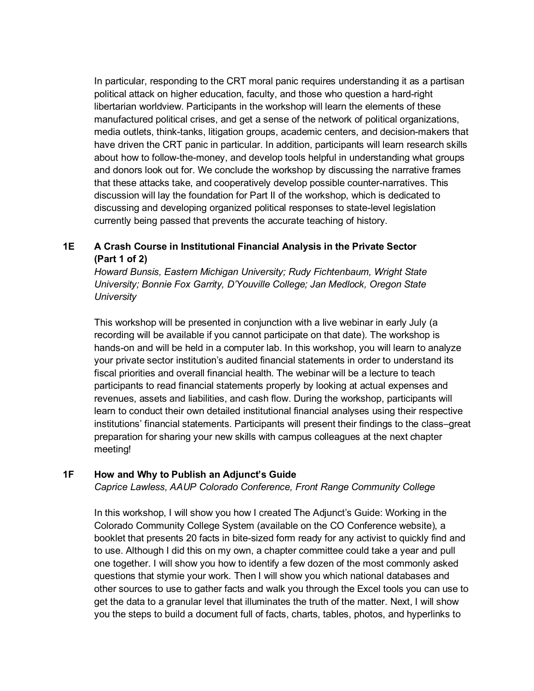In particular, responding to the CRT moral panic requires understanding it as a partisan political attack on higher education, faculty, and those who question a hard-right libertarian worldview. Participants in the workshop will learn the elements of these manufactured political crises, and get a sense of the network of political organizations, media outlets, think-tanks, litigation groups, academic centers, and decision-makers that have driven the CRT panic in particular. In addition, participants will learn research skills about how to follow-the-money, and develop tools helpful in understanding what groups and donors look out for. We conclude the workshop by discussing the narrative frames that these attacks take, and cooperatively develop possible counter-narratives. This discussion will lay the foundation for Part II of the workshop, which is dedicated to discussing and developing organized political responses to state-level legislation currently being passed that prevents the accurate teaching of history.

# **1E A Crash Course in Institutional Financial Analysis in the Private Sector (Part 1 of 2)**

*Howard Bunsis, Eastern Michigan University; Rudy Fichtenbaum, Wright State University; Bonnie Fox Garrity, D'Youville College; Jan Medlock, Oregon State University*

This workshop will be presented in conjunction with a live webinar in early July (a recording will be available if you cannot participate on that date). The workshop is hands-on and will be held in a computer lab. In this workshop, you will learn to analyze your private sector institution's audited financial statements in order to understand its fiscal priorities and overall financial health. The webinar will be a lecture to teach participants to read financial statements properly by looking at actual expenses and revenues, assets and liabilities, and cash flow. During the workshop, participants will learn to conduct their own detailed institutional financial analyses using their respective institutions' financial statements. Participants will present their findings to the class–great preparation for sharing your new skills with campus colleagues at the next chapter meeting!

## **1F How and Why to Publish an Adjunct's Guide**

*Caprice Lawless, AAUP Colorado Conference, Front Range Community College*

In this workshop, I will show you how I created The Adjunct's Guide: Working in the Colorado Community College System (available on the CO Conference website), a booklet that presents 20 facts in bite-sized form ready for any activist to quickly find and to use. Although I did this on my own, a chapter committee could take a year and pull one together. I will show you how to identify a few dozen of the most commonly asked questions that stymie your work. Then I will show you which national databases and other sources to use to gather facts and walk you through the Excel tools you can use to get the data to a granular level that illuminates the truth of the matter. Next, I will show you the steps to build a document full of facts, charts, tables, photos, and hyperlinks to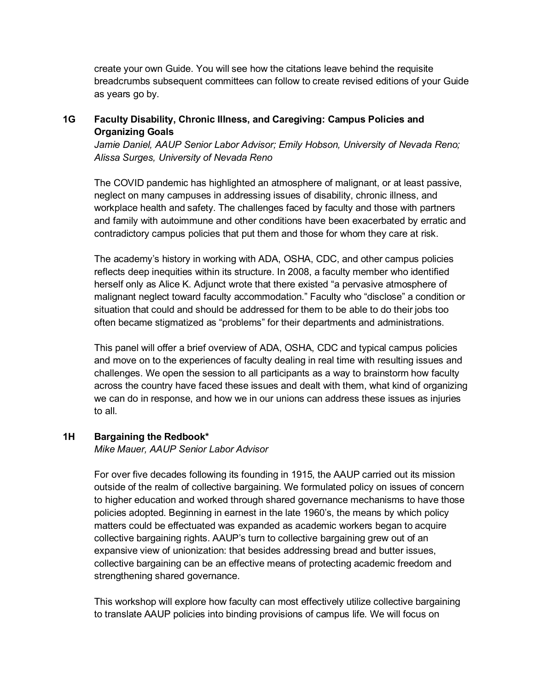create your own Guide. You will see how the citations leave behind the requisite breadcrumbs subsequent committees can follow to create revised editions of your Guide as years go by.

## **1G Faculty Disability, Chronic Illness, and Caregiving: Campus Policies and Organizing Goals**

Jamie Daniel, AAUP Senior Labor Advisor; Emily Hobson, University of Nevada Reno; *Alissa Surges, University of Nevada Reno*

The COVID pandemic has highlighted an atmosphere of malignant, or at least passive, neglect on many campuses in addressing issues of disability, chronic illness, and workplace health and safety. The challenges faced by faculty and those with partners and family with autoimmune and other conditions have been exacerbated by erratic and contradictory campus policies that put them and those for whom they care at risk.

The academy's history in working with ADA, OSHA, CDC, and other campus policies reflects deep inequities within its structure. In 2008, a faculty member who identified herself only as Alice K. Adjunct wrote that there existed "a pervasive atmosphere of malignant neglect toward faculty accommodation." Faculty who "disclose" a condition or situation that could and should be addressed for them to be able to do their jobs too often became stigmatized as "problems" for their departments and administrations.

This panel will offer a brief overview of ADA, OSHA, CDC and typical campus policies and move on to the experiences of faculty dealing in real time with resulting issues and challenges. We open the session to all participants as a way to brainstorm how faculty across the country have faced these issues and dealt with them, what kind of organizing we can do in response, and how we in our unions can address these issues as injuries to all.

## **1H Bargaining the Redbook\***

*Mike Mauer, AAUP Senior Labor Advisor*

For over five decades following its founding in 1915, the AAUP carried out its mission outside of the realm of collective bargaining. We formulated policy on issues of concern to higher education and worked through shared governance mechanisms to have those policies adopted. Beginning in earnest in the late 1960's, the means by which policy matters could be effectuated was expanded as academic workers began to acquire collective bargaining rights. AAUP's turn to collective bargaining grew out of an expansive view of unionization: that besides addressing bread and butter issues, collective bargaining can be an effective means of protecting academic freedom and strengthening shared governance.

This workshop will explore how faculty can most effectively utilize collective bargaining to translate AAUP policies into binding provisions of campus life. We will focus on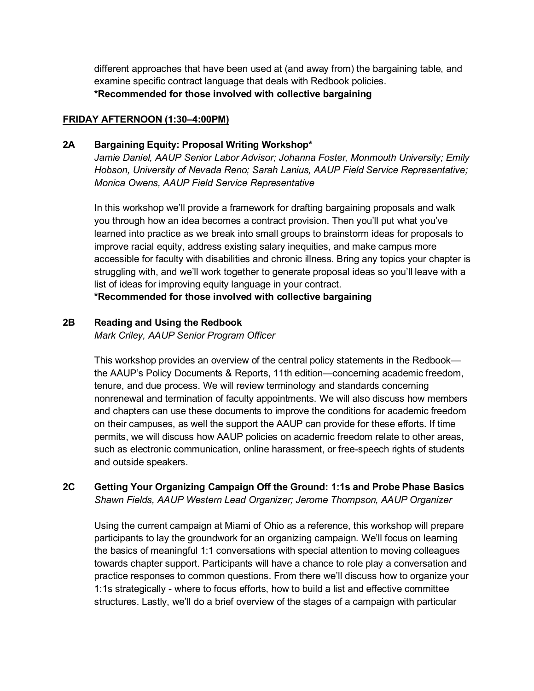different approaches that have been used at (and away from) the bargaining table, and examine specific contract language that deals with Redbook policies. **\*Recommended for those involved with collective bargaining**

## **FRIDAY AFTERNOON (1:30–4:00PM)**

## **2A Bargaining Equity: Proposal Writing Workshop\***

*Jamie Daniel, AAUP Senior Labor Advisor; Johanna Foster, Monmouth University; Emily Hobson, University of Nevada Reno; Sarah Lanius, AAUP Field Service Representative; Monica Owens, AAUP Field Service Representative*

In this workshop we'll provide a framework for drafting bargaining proposals and walk you through how an idea becomes a contract provision. Then you'll put what you've learned into practice as we break into small groups to brainstorm ideas for proposals to improve racial equity, address existing salary inequities, and make campus more accessible for faculty with disabilities and chronic illness. Bring any topics your chapter is struggling with, and we'll work together to generate proposal ideas so you'll leave with a list of ideas for improving equity language in your contract.

**\*Recommended for those involved with collective bargaining**

## **2B Reading and Using the Redbook**

*Mark Criley, AAUP Senior Program Officer*

This workshop provides an overview of the central policy statements in the Redbook the AAUP's Policy Documents & Reports, 11th edition—concerning academic freedom, tenure, and due process. We will review terminology and standards concerning nonrenewal and termination of faculty appointments. We will also discuss how members and chapters can use these documents to improve the conditions for academic freedom on their campuses, as well the support the AAUP can provide for these efforts. If time permits, we will discuss how AAUP policies on academic freedom relate to other areas, such as electronic communication, online harassment, or free-speech rights of students and outside speakers.

# **2C Getting Your Organizing Campaign Off the Ground: 1:1s and Probe Phase Basics** *Shawn Fields, AAUP Western Lead Organizer; Jerome Thompson, AAUP Organizer*

Using the current campaign at Miami of Ohio as a reference, this workshop will prepare participants to lay the groundwork for an organizing campaign. We'll focus on learning the basics of meaningful 1:1 conversations with special attention to moving colleagues towards chapter support. Participants will have a chance to role play a conversation and practice responses to common questions. From there we'll discuss how to organize your 1:1s strategically - where to focus efforts, how to build a list and effective committee structures. Lastly, we'll do a brief overview of the stages of a campaign with particular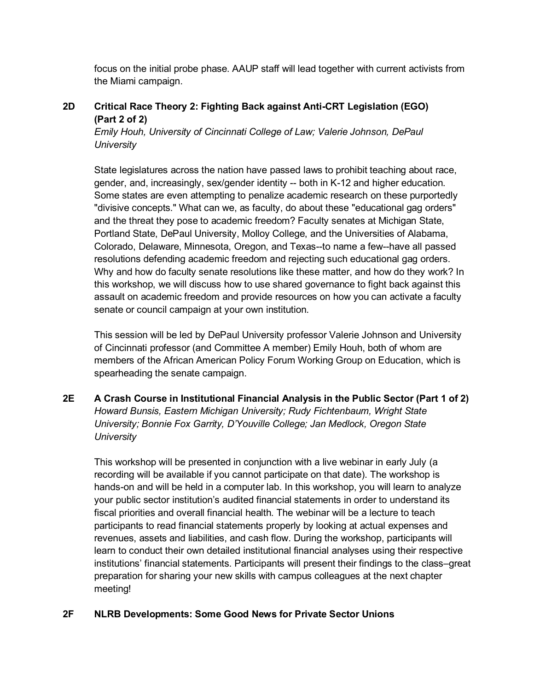focus on the initial probe phase. AAUP staff will lead together with current activists from the Miami campaign.

# **2D Critical Race Theory 2: Fighting Back against Anti-CRT Legislation (EGO) (Part 2 of 2)**

*Emily Houh, University of Cincinnati College of Law; Valerie Johnson, DePaul University* 

State legislatures across the nation have passed laws to prohibit teaching about race, gender, and, increasingly, sex/gender identity -- both in K-12 and higher education. Some states are even attempting to penalize academic research on these purportedly "divisive concepts." What can we, as faculty, do about these "educational gag orders" and the threat they pose to academic freedom? Faculty senates at Michigan State, Portland State, DePaul University, Molloy College, and the Universities of Alabama, Colorado, Delaware, Minnesota, Oregon, and Texas--to name a few--have all passed resolutions defending academic freedom and rejecting such educational gag orders. Why and how do faculty senate resolutions like these matter, and how do they work? In this workshop, we will discuss how to use shared governance to fight back against this assault on academic freedom and provide resources on how you can activate a faculty senate or council campaign at your own institution.

This session will be led by DePaul University professor Valerie Johnson and University of Cincinnati professor (and Committee A member) Emily Houh, both of whom are members of the African American Policy Forum Working Group on Education, which is spearheading the senate campaign.

**2E A Crash Course in Institutional Financial Analysis in the Public Sector (Part 1 of 2)** *Howard Bunsis, Eastern Michigan University; Rudy Fichtenbaum, Wright State University; Bonnie Fox Garrity, D'Youville College; Jan Medlock, Oregon State University*

This workshop will be presented in conjunction with a live webinar in early July (a recording will be available if you cannot participate on that date). The workshop is hands-on and will be held in a computer lab. In this workshop, you will learn to analyze your public sector institution's audited financial statements in order to understand its fiscal priorities and overall financial health. The webinar will be a lecture to teach participants to read financial statements properly by looking at actual expenses and revenues, assets and liabilities, and cash flow. During the workshop, participants will learn to conduct their own detailed institutional financial analyses using their respective institutions' financial statements. Participants will present their findings to the class–great preparation for sharing your new skills with campus colleagues at the next chapter meeting!

# **2F NLRB Developments: Some Good News for Private Sector Unions**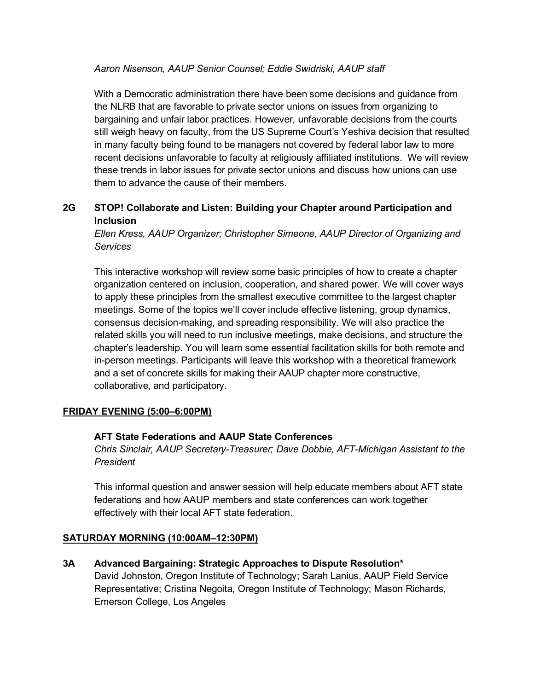## *Aaron Nisenson, AAUP Senior Counsel; Eddie Swidriski, AAUP staff*

With a Democratic administration there have been some decisions and guidance from the NLRB that are favorable to private sector unions on issues from organizing to bargaining and unfair labor practices. However, unfavorable decisions from the courts still weigh heavy on faculty, from the US Supreme Court's Yeshiva decision that resulted in many faculty being found to be managers not covered by federal labor law to more recent decisions unfavorable to faculty at religiously affiliated institutions. We will review these trends in labor issues for private sector unions and discuss how unions can use them to advance the cause of their members.

# **2G STOP! Collaborate and Listen: Building your Chapter around Participation and Inclusion**

*Ellen Kress, AAUP Organizer; Christopher Simeone, AAUP Director of Organizing and Services*

This interactive workshop will review some basic principles of how to create a chapter organization centered on inclusion, cooperation, and shared power. We will cover ways to apply these principles from the smallest executive committee to the largest chapter meetings. Some of the topics we'll cover include effective listening, group dynamics, consensus decision-making, and spreading responsibility. We will also practice the related skills you will need to run inclusive meetings, make decisions, and structure the chapter's leadership. You will learn some essential facilitation skills for both remote and in-person meetings. Participants will leave this workshop with a theoretical framework and a set of concrete skills for making their AAUP chapter more constructive, collaborative, and participatory.

## **FRIDAY EVENING (5:00–6:00PM)**

# **AFT State Federations and AAUP State Conferences**

*Chris Sinclair, AAUP Secretary-Treasurer; Dave Dobbie, AFT-Michigan Assistant to the President*

This informal question and answer session will help educate members about AFT state federations and how AAUP members and state conferences can work together effectively with their local AFT state federation.

## **SATURDAY MORNING (10:00AM–12:30PM)**

**3A Advanced Bargaining: Strategic Approaches to Dispute Resolution\*** 

David Johnston, Oregon Institute of Technology; Sarah Lanius, AAUP Field Service Representative; Cristina Negoita, Oregon Institute of Technology; Mason Richards, Emerson College, Los Angeles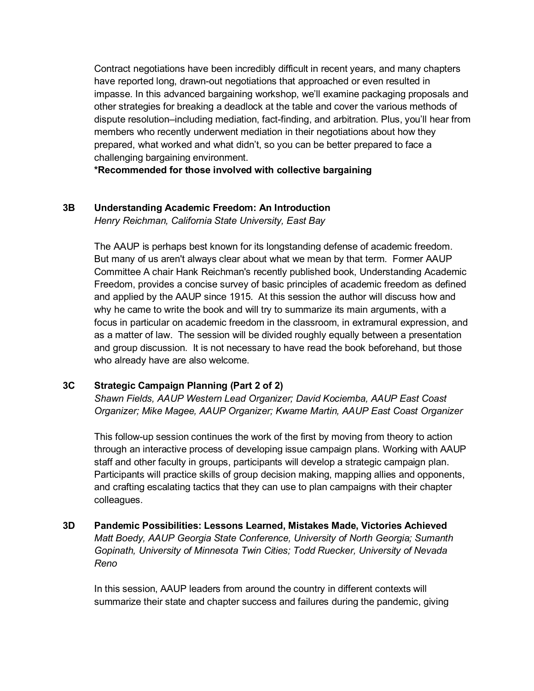Contract negotiations have been incredibly difficult in recent years, and many chapters have reported long, drawn-out negotiations that approached or even resulted in impasse. In this advanced bargaining workshop, we'll examine packaging proposals and other strategies for breaking a deadlock at the table and cover the various methods of dispute resolution–including mediation, fact-finding, and arbitration. Plus, you'll hear from members who recently underwent mediation in their negotiations about how they prepared, what worked and what didn't, so you can be better prepared to face a challenging bargaining environment.

**\*Recommended for those involved with collective bargaining**

# **3B Understanding Academic Freedom: An Introduction**

*Henry Reichman, California State University, East Bay*

The AAUP is perhaps best known for its longstanding defense of academic freedom. But many of us aren't always clear about what we mean by that term. Former AAUP Committee A chair Hank Reichman's recently published book, Understanding Academic Freedom, provides a concise survey of basic principles of academic freedom as defined and applied by the AAUP since 1915. At this session the author will discuss how and why he came to write the book and will try to summarize its main arguments, with a focus in particular on academic freedom in the classroom, in extramural expression, and as a matter of law. The session will be divided roughly equally between a presentation and group discussion. It is not necessary to have read the book beforehand, but those who already have are also welcome.

# **3C Strategic Campaign Planning (Part 2 of 2)**

*Shawn Fields, AAUP Western Lead Organizer; David Kociemba, AAUP East Coast Organizer; Mike Magee, AAUP Organizer; Kwame Martin, AAUP East Coast Organizer*

This follow-up session continues the work of the first by moving from theory to action through an interactive process of developing issue campaign plans. Working with AAUP staff and other faculty in groups, participants will develop a strategic campaign plan. Participants will practice skills of group decision making, mapping allies and opponents, and crafting escalating tactics that they can use to plan campaigns with their chapter colleagues.

# **3D Pandemic Possibilities: Lessons Learned, Mistakes Made, Victories Achieved** *Matt Boedy, AAUP Georgia State Conference, University of North Georgia; Sumanth Gopinath, University of Minnesota Twin Cities; Todd Ruecker, University of Nevada Reno*

In this session, AAUP leaders from around the country in different contexts will summarize their state and chapter success and failures during the pandemic, giving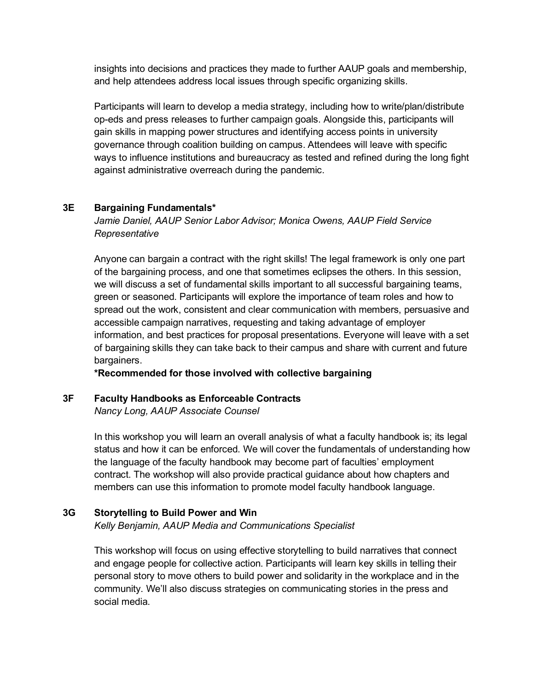insights into decisions and practices they made to further AAUP goals and membership, and help attendees address local issues through specific organizing skills.

Participants will learn to develop a media strategy, including how to write/plan/distribute op-eds and press releases to further campaign goals. Alongside this, participants will gain skills in mapping power structures and identifying access points in university governance through coalition building on campus. Attendees will leave with specific ways to influence institutions and bureaucracy as tested and refined during the long fight against administrative overreach during the pandemic.

## **3E Bargaining Fundamentals\***

*Jamie Daniel, AAUP Senior Labor Advisor; Monica Owens, AAUP Field Service Representative*

Anyone can bargain a contract with the right skills! The legal framework is only one part of the bargaining process, and one that sometimes eclipses the others. In this session, we will discuss a set of fundamental skills important to all successful bargaining teams, green or seasoned. Participants will explore the importance of team roles and how to spread out the work, consistent and clear communication with members, persuasive and accessible campaign narratives, requesting and taking advantage of employer information, and best practices for proposal presentations. Everyone will leave with a set of bargaining skills they can take back to their campus and share with current and future bargainers.

**\*Recommended for those involved with collective bargaining**

## **3F Faculty Handbooks as Enforceable Contracts**

*Nancy Long, AAUP Associate Counsel*

In this workshop you will learn an overall analysis of what a faculty handbook is; its legal status and how it can be enforced. We will cover the fundamentals of understanding how the language of the faculty handbook may become part of faculties' employment contract. The workshop will also provide practical guidance about how chapters and members can use this information to promote model faculty handbook language.

## **3G Storytelling to Build Power and Win**

*Kelly Benjamin, AAUP Media and Communications Specialist*

This workshop will focus on using effective storytelling to build narratives that connect and engage people for collective action. Participants will learn key skills in telling their personal story to move others to build power and solidarity in the workplace and in the community. We'll also discuss strategies on communicating stories in the press and social media.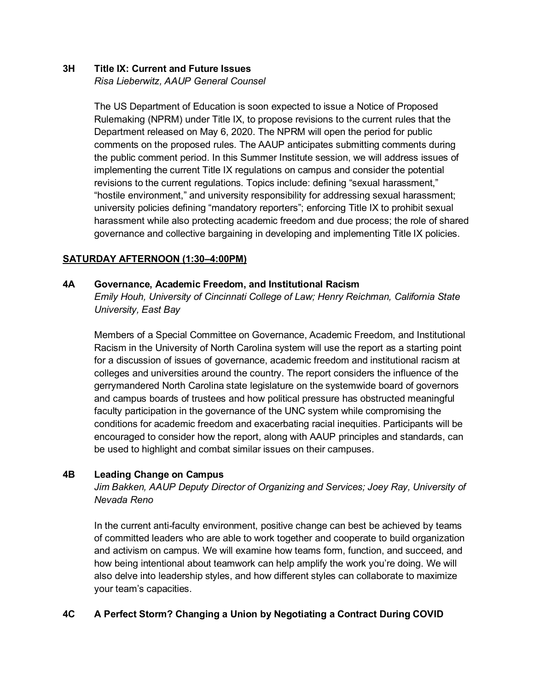## **3H Title IX: Current and Future Issues**

*Risa Lieberwitz, AAUP General Counsel*

The US Department of Education is soon expected to issue a Notice of Proposed Rulemaking (NPRM) under Title IX, to propose revisions to the current rules that the Department released on May 6, 2020. The NPRM will open the period for public comments on the proposed rules. The AAUP anticipates submitting comments during the public comment period. In this Summer Institute session, we will address issues of implementing the current Title IX regulations on campus and consider the potential revisions to the current regulations. Topics include: defining "sexual harassment," "hostile environment," and university responsibility for addressing sexual harassment; university policies defining "mandatory reporters"; enforcing Title IX to prohibit sexual harassment while also protecting academic freedom and due process; the role of shared governance and collective bargaining in developing and implementing Title IX policies.

# **SATURDAY AFTERNOON (1:30–4:00PM)**

## **4A Governance, Academic Freedom, and Institutional Racism**

*Emily Houh, University of Cincinnati College of Law; Henry Reichman, California State University, East Bay*

Members of a Special Committee on Governance, Academic Freedom, and Institutional Racism in the University of North Carolina system will use the report as a starting point for a discussion of issues of governance, academic freedom and institutional racism at colleges and universities around the country. The report considers the influence of the gerrymandered North Carolina state legislature on the systemwide board of governors and campus boards of trustees and how political pressure has obstructed meaningful faculty participation in the governance of the UNC system while compromising the conditions for academic freedom and exacerbating racial inequities. Participants will be encouraged to consider how the report, along with AAUP principles and standards, can be used to highlight and combat similar issues on their campuses.

## **4B Leading Change on Campus**

*Jim Bakken, AAUP Deputy Director of Organizing and Services; Joey Ray, University of Nevada Reno*

In the current anti-faculty environment, positive change can best be achieved by teams of committed leaders who are able to work together and cooperate to build organization and activism on campus. We will examine how teams form, function, and succeed, and how being intentional about teamwork can help amplify the work you're doing. We will also delve into leadership styles, and how different styles can collaborate to maximize your team's capacities.

# **4C A Perfect Storm? Changing a Union by Negotiating a Contract During COVID**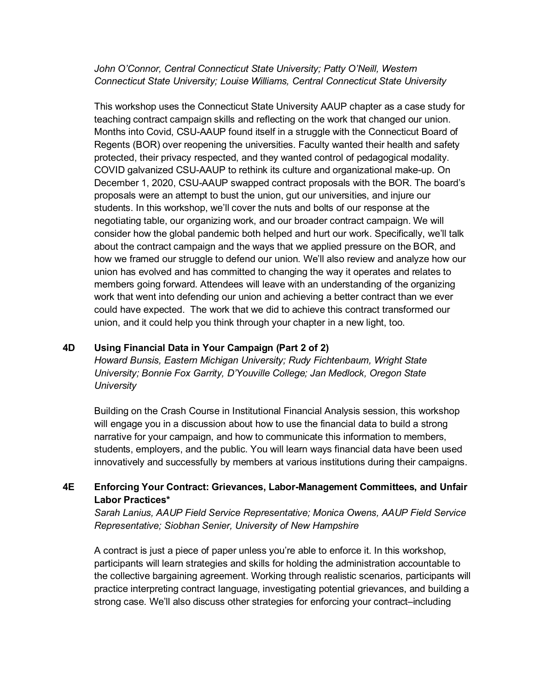*John O'Connor, Central Connecticut State University; Patty O'Neill, Western Connecticut State University; Louise Williams, Central Connecticut State University*

This workshop uses the Connecticut State University AAUP chapter as a case study for teaching contract campaign skills and reflecting on the work that changed our union. Months into Covid, CSU-AAUP found itself in a struggle with the Connecticut Board of Regents (BOR) over reopening the universities. Faculty wanted their health and safety protected, their privacy respected, and they wanted control of pedagogical modality. COVID galvanized CSU-AAUP to rethink its culture and organizational make-up. On December 1, 2020, CSU-AAUP swapped contract proposals with the BOR. The board's proposals were an attempt to bust the union, gut our universities, and injure our students. In this workshop, we'll cover the nuts and bolts of our response at the negotiating table, our organizing work, and our broader contract campaign. We will consider how the global pandemic both helped and hurt our work. Specifically, we'll talk about the contract campaign and the ways that we applied pressure on the BOR, and how we framed our struggle to defend our union. We'll also review and analyze how our union has evolved and has committed to changing the way it operates and relates to members going forward. Attendees will leave with an understanding of the organizing work that went into defending our union and achieving a better contract than we ever could have expected. The work that we did to achieve this contract transformed our union, and it could help you think through your chapter in a new light, too.

## **4D Using Financial Data in Your Campaign (Part 2 of 2)**

*Howard Bunsis, Eastern Michigan University; Rudy Fichtenbaum, Wright State University; Bonnie Fox Garrity, D'Youville College; Jan Medlock, Oregon State University*

Building on the Crash Course in Institutional Financial Analysis session, this workshop will engage you in a discussion about how to use the financial data to build a strong narrative for your campaign, and how to communicate this information to members, students, employers, and the public. You will learn ways financial data have been used innovatively and successfully by members at various institutions during their campaigns.

# **4E Enforcing Your Contract: Grievances, Labor-Management Committees, and Unfair Labor Practices\***

*Sarah Lanius, AAUP Field Service Representative; Monica Owens, AAUP Field Service Representative; Siobhan Senier, University of New Hampshire*

A contract is just a piece of paper unless you're able to enforce it. In this workshop, participants will learn strategies and skills for holding the administration accountable to the collective bargaining agreement. Working through realistic scenarios, participants will practice interpreting contract language, investigating potential grievances, and building a strong case. We'll also discuss other strategies for enforcing your contract–including